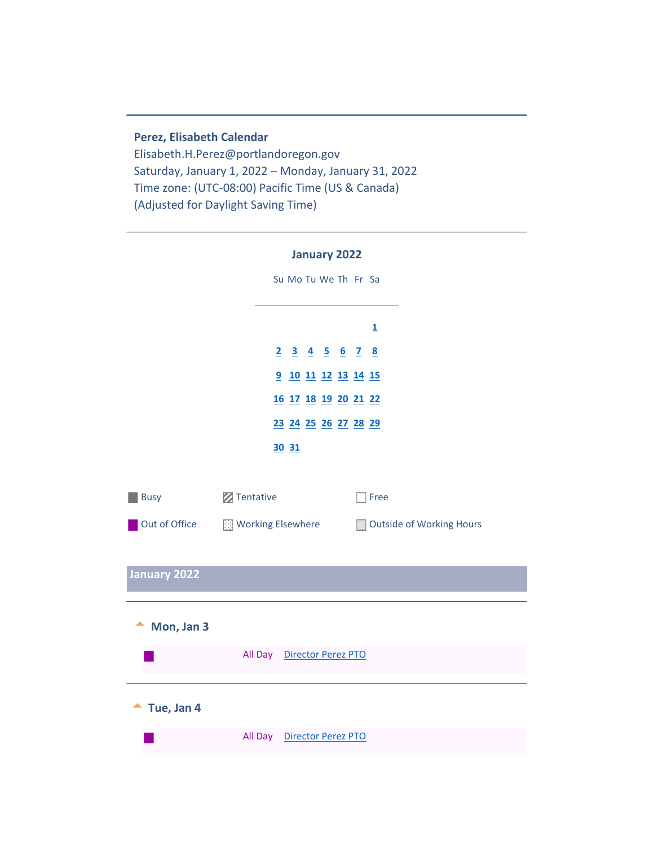#### **Perez, Elisabeth Calendar**

Elisabeth.H.Perez@portlandoregon.gov Saturday, January 1, 2022 – Monday, January 31, 2022 Time zone: (UTC-08:00) Pacific Time (US & Canada) (Adjusted for Daylight Saving Time)

<span id="page-0-1"></span><span id="page-0-0"></span>

|               | <b>January 2022</b>                           |
|---------------|-----------------------------------------------|
|               | Su Mo Tu We Th Fr Sa                          |
|               |                                               |
|               | $\overline{\mathbf{1}}$                       |
|               | <u>2 3 4 5 6 7 8</u>                          |
|               | 9 10 11 12 13 14 15                           |
|               | 16 17 18 19 20 21 22                          |
|               | 23 24 25 26 27 28 29                          |
|               | 30 31                                         |
|               |                                               |
| <b>Busy</b>   | Tentative<br>Free                             |
| Out of Office | Working Elsewhere<br>Outside of Working Hours |
|               |                                               |
| January 2022  |                                               |
|               |                                               |
| Mon, Jan 3    |                                               |
|               |                                               |
|               | Director Perez PTO<br>All Day                 |
|               |                                               |
| Tue, Jan 4    |                                               |
|               | Director Perez PTO<br>All Day                 |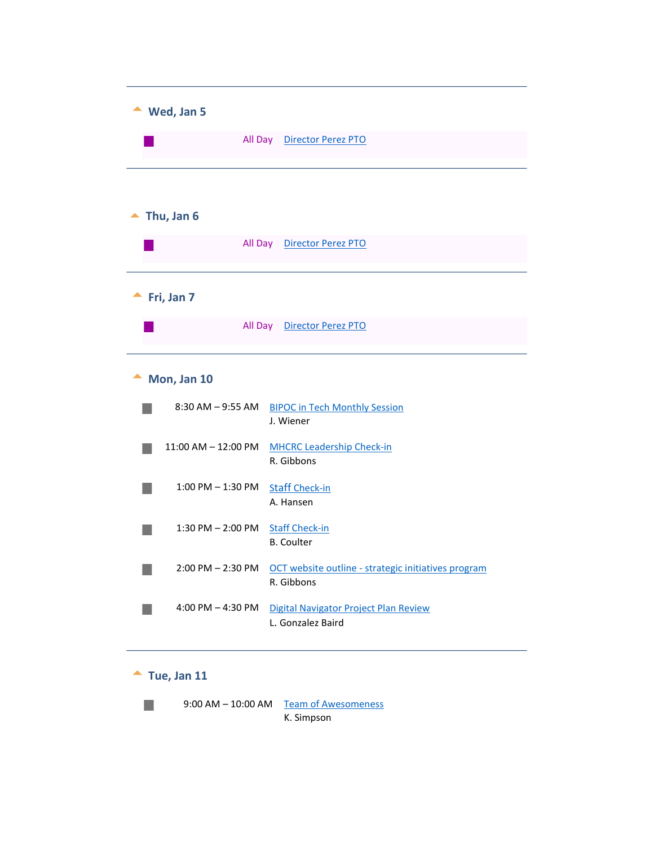<span id="page-1-3"></span><span id="page-1-2"></span><span id="page-1-1"></span><span id="page-1-0"></span>

| Wed, Jan 5            |                                                                   |  |
|-----------------------|-------------------------------------------------------------------|--|
|                       | All Day Director Perez PTO                                        |  |
|                       |                                                                   |  |
| Thu, Jan 6            |                                                                   |  |
|                       | All Day Director Perez PTO                                        |  |
| Fri, Jan 7            |                                                                   |  |
|                       | All Day Director Perez PTO                                        |  |
| Mon, Jan 10           |                                                                   |  |
| $8:30$ AM $-9:55$ AM  | <b>BIPOC in Tech Monthly Session</b><br>J. Wiener                 |  |
| 11:00 AM - 12:00 PM   | <b>MHCRC Leadership Check-in</b><br>R. Gibbons                    |  |
| $1:00$ PM $-1:30$ PM  | <b>Staff Check-in</b><br>A. Hansen                                |  |
| $1:30$ PM $- 2:00$ PM | <b>Staff Check-in</b><br><b>B.</b> Coulter                        |  |
| $2:00$ PM $- 2:30$ PM | OCT website outline - strategic initiatives program<br>R. Gibbons |  |
| 4:00 PM $-$ 4:30 PM   | Digital Navigator Project Plan Review<br>L. Gonzalez Baird        |  |

# $\triangle$  Tue, Jan 11

r.

<span id="page-1-4"></span>9:00 AM – 10:00 AM Team of Awesomeness K. Simpson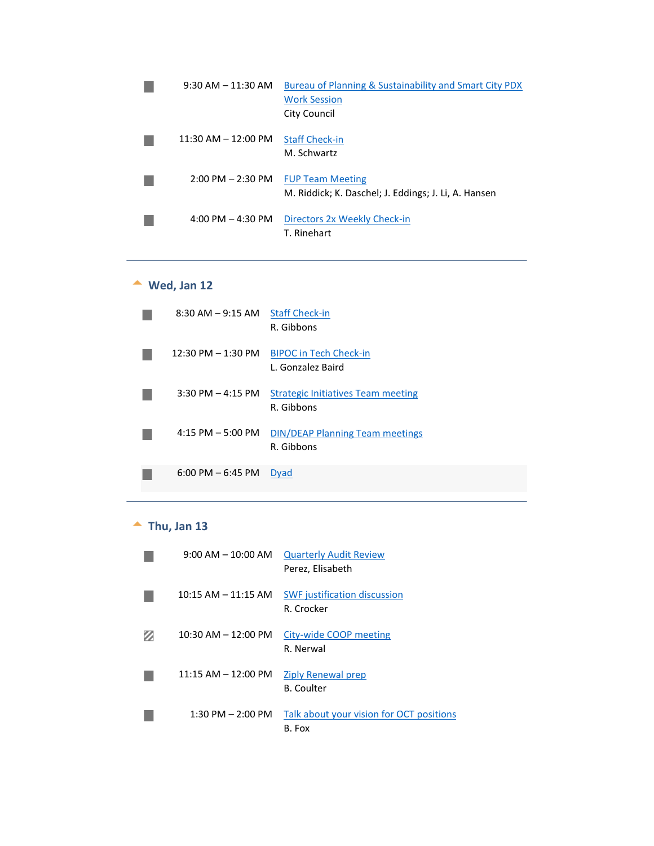| $9:30$ AM $-11:30$ AM   | Bureau of Planning & Sustainability and Smart City PDX<br><b>Work Session</b><br>City Council |
|-------------------------|-----------------------------------------------------------------------------------------------|
| $11:30$ AM $- 12:00$ PM | <b>Staff Check-in</b><br>M. Schwartz                                                          |
| $2:00$ PM $- 2:30$ PM   | <b>FUP Team Meeting</b><br>M. Riddick; K. Daschel; J. Eddings; J. Li, A. Hansen               |
| 4:00 PM $-$ 4:30 PM     | Directors 2x Weekly Check-in<br>T. Rinehart                                                   |

# <span id="page-2-0"></span>**Wed, Jan 12**

| $8:30$ AM $-9:15$ AM  | <b>Staff Check-in</b><br>R. Gibbons                  |
|-----------------------|------------------------------------------------------|
| $12:30$ PM $-1:30$ PM | <b>BIPOC in Tech Check-in</b><br>L. Gonzalez Baird   |
| $3:30$ PM $-4:15$ PM  | Strategic Initiatives Team meeting<br>R. Gibbons     |
| $4:15$ PM $-5:00$ PM  | <b>DIN/DEAP Planning Team meetings</b><br>R. Gibbons |
| $6:00$ PM $-6:45$ PM  | Dyad                                                 |

# $\triangle$  Thu, Jan 13

<span id="page-2-1"></span>

| $9:00$ AM $-10:00$ AM   | <b>Quarterly Audit Review</b><br>Perez, Elisabeth  |
|-------------------------|----------------------------------------------------|
| $10:15$ AM $- 11:15$ AM | <b>SWF</b> justification discussion<br>R. Crocker  |
| $10:30$ AM $- 12:00$ PM | City-wide COOP meeting<br>R. Nerwal                |
| $11:15$ AM $-12:00$ PM  | <b>Ziply Renewal prep</b><br>B. Coulter            |
| $1:30$ PM $- 2:00$ PM   | Talk about your vision for OCT positions<br>B. Fox |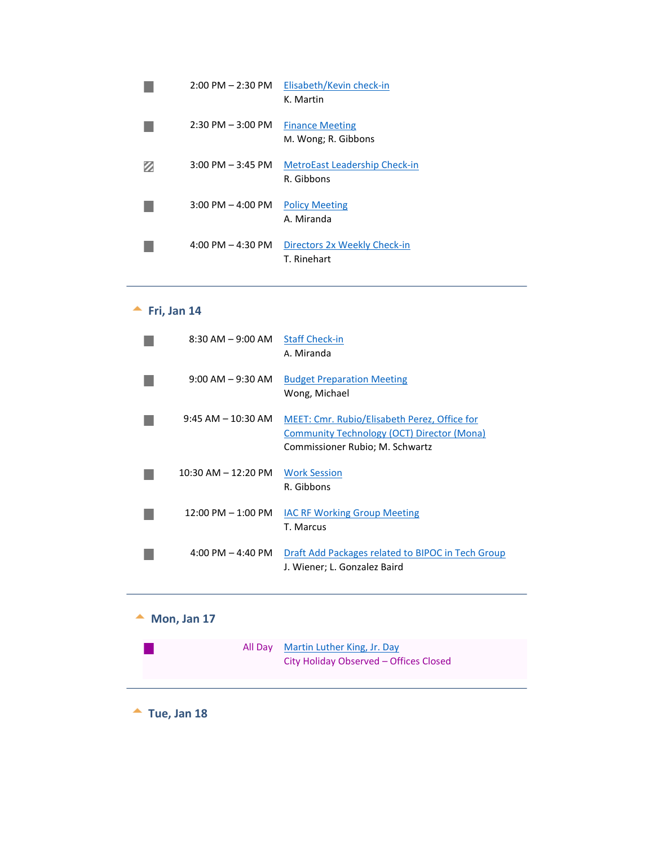| $2:00$ PM $- 2:30$ PM               | Elisabeth/Kevin check-in<br>K. Martin              |
|-------------------------------------|----------------------------------------------------|
| $2:30$ PM $-3:00$ PM                | <b>Finance Meeting</b><br>M. Wong; R. Gibbons      |
| $3:00 \text{ PM} - 3:45 \text{ PM}$ | <b>MetroEast Leadership Check-in</b><br>R. Gibbons |
| $3:00 \text{ PM} - 4:00 \text{ PM}$ | <b>Policy Meeting</b><br>A. Miranda                |
| 4:00 PM $-$ 4:30 PM                 | Directors 2x Weekly Check-in<br>T. Rinehart        |

# <span id="page-3-0"></span>**Fri, Jan 14**

| $8:30$ AM $-9:00$ AM                | <b>Staff Check-in</b><br>A. Miranda                                                                                           |
|-------------------------------------|-------------------------------------------------------------------------------------------------------------------------------|
| $9:00$ AM $-9:30$ AM                | <b>Budget Preparation Meeting</b><br>Wong, Michael                                                                            |
| $9:45$ AM $-10:30$ AM               | MEET: Cmr. Rubio/Elisabeth Perez, Office for<br>Community Technology (OCT) Director (Mona)<br>Commissioner Rubio; M. Schwartz |
| $10:30$ AM $-12:20$ PM              | <b>Work Session</b><br>R. Gibbons                                                                                             |
| $12:00$ PM $-1:00$ PM               | <b>IAC RF Working Group Meeting</b><br>T. Marcus                                                                              |
| $4:00 \text{ PM} - 4:40 \text{ PM}$ | Draft Add Packages related to BIPOC in Tech Group<br>J. Wiener; L. Gonzalez Baird                                             |

# **Mon, Jan 17**

 $\mathbb{R}^n$ 

<span id="page-3-2"></span><span id="page-3-1"></span>

| All Dav | Martin Luther King, Jr. Day            |
|---------|----------------------------------------|
|         | City Holiday Observed – Offices Closed |

**Tue, Jan 18**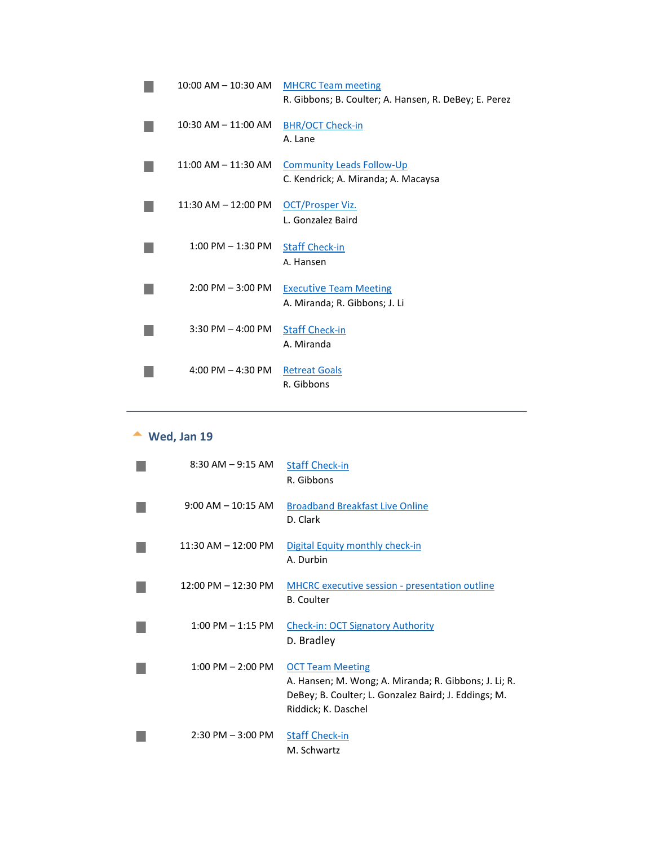| 10:00 AM - 10:30 AM     | <b>MHCRC Team meeting</b><br>R. Gibbons; B. Coulter; A. Hansen, R. DeBey; E. Perez |
|-------------------------|------------------------------------------------------------------------------------|
| $10:30$ AM $- 11:00$ AM | <b>BHR/OCT Check-in</b><br>A. Lane                                                 |
| $11:00$ AM $- 11:30$ AM | <b>Community Leads Follow-Up</b><br>C. Kendrick; A. Miranda; A. Macaysa            |
| $11:30$ AM $- 12:00$ PM | OCT/Prosper Viz.<br>L. Gonzalez Baird                                              |
| $1:00$ PM $-1:30$ PM    | <b>Staff Check-in</b><br>A. Hansen                                                 |
| $2:00$ PM $-3:00$ PM    | <b>Executive Team Meeting</b><br>A. Miranda; R. Gibbons; J. Li                     |
| 3:30 PM $-$ 4:00 PM     | <b>Staff Check-in</b><br>A. Miranda                                                |
| 4:00 PM $-$ 4:30 PM     | <b>Retreat Goals</b><br>R. Gibbons                                                 |
|                         |                                                                                    |

# <span id="page-4-0"></span>**Wed, Jan 19**

| $8:30$ AM $-9:15$ AM                | <b>Staff Check-in</b><br>R. Gibbons                                                                                                                             |
|-------------------------------------|-----------------------------------------------------------------------------------------------------------------------------------------------------------------|
| $9:00$ AM $- 10:15$ AM              | <b>Broadband Breakfast Live Online</b><br>D. Clark                                                                                                              |
| $11:30$ AM $-12:00$ PM              | Digital Equity monthly check-in<br>A. Durbin                                                                                                                    |
| 12:00 PM - 12:30 PM                 | MHCRC executive session - presentation outline<br><b>B.</b> Coulter                                                                                             |
| $1:00 \text{ PM} - 1:15 \text{ PM}$ | <b>Check-in: OCT Signatory Authority</b><br>D. Bradley                                                                                                          |
| $1:00$ PM $- 2:00$ PM               | <b>OCT Team Meeting</b><br>A. Hansen; M. Wong; A. Miranda; R. Gibbons; J. Li; R.<br>DeBey; B. Coulter; L. Gonzalez Baird; J. Eddings; M.<br>Riddick; K. Daschel |
| $2:30$ PM $-3:00$ PM                | <b>Staff Check-in</b><br>M. Schwartz                                                                                                                            |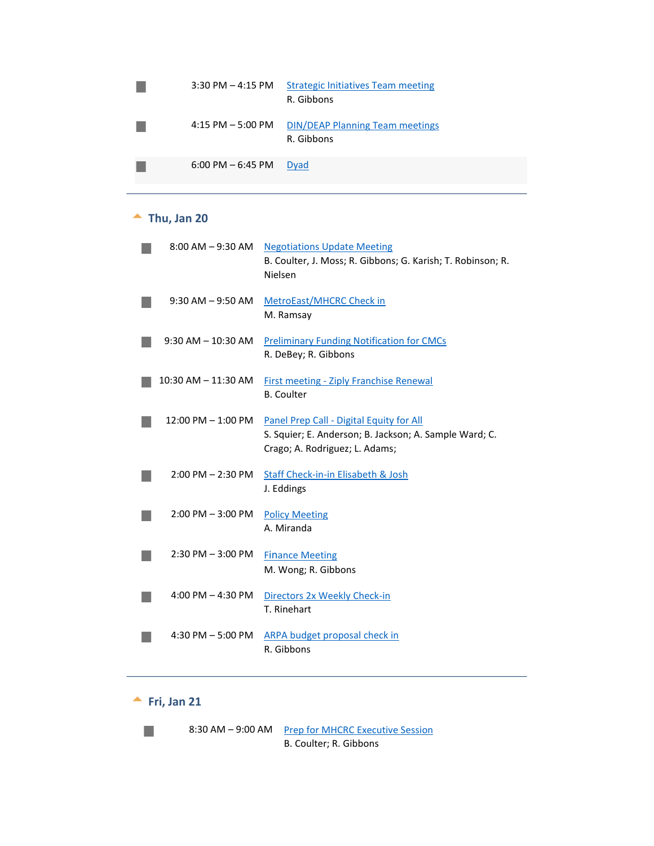|                                                                                                                      | $3:30$ PM $-$ 4:15 PM | <b>Strategic Initiatives Team meeting</b><br>R. Gibbons |
|----------------------------------------------------------------------------------------------------------------------|-----------------------|---------------------------------------------------------|
| <b>STATE OF STATE OF STATE OF STATE OF STATE OF STATE OF STATE OF STATE OF STATE OF STATE OF STATE OF STATE OF S</b> | $4:15$ PM $-5:00$ PM  | <b>DIN/DEAP Planning Team meetings</b><br>R. Gibbons    |
|                                                                                                                      | $6:00$ PM $-6:45$ PM  | Dyad                                                    |

# <span id="page-5-0"></span>**Thu, Jan 20**

| $8:00$ AM $-9:30$ AM    | <b>Negotiations Update Meeting</b><br>B. Coulter, J. Moss; R. Gibbons; G. Karish; T. Robinson; R.<br>Nielsen                         |
|-------------------------|--------------------------------------------------------------------------------------------------------------------------------------|
| $9:30$ AM $-9:50$ AM    | MetroEast/MHCRC Check in<br>M. Ramsay                                                                                                |
| $9:30$ AM $-10:30$ AM   | <b>Preliminary Funding Notification for CMCs</b><br>R. DeBey; R. Gibbons                                                             |
| $10:30$ AM $- 11:30$ AM | <b>First meeting - Ziply Franchise Renewal</b><br><b>B.</b> Coulter                                                                  |
| 12:00 PM - 1:00 PM      | Panel Prep Call - Digital Equity for All<br>S. Squier; E. Anderson; B. Jackson; A. Sample Ward; C.<br>Crago; A. Rodriguez; L. Adams; |
| $2:00$ PM $- 2:30$ PM   | Staff Check-in-in Elisabeth & Josh<br>J. Eddings                                                                                     |
| $2:00$ PM $-3:00$ PM    | <b>Policy Meeting</b><br>A. Miranda                                                                                                  |
| $2:30$ PM $-3:00$ PM    | <b>Finance Meeting</b><br>M. Wong; R. Gibbons                                                                                        |
| 4:00 PM $-$ 4:30 PM     | Directors 2x Weekly Check-in<br>T. Rinehart                                                                                          |
| 4:30 PM $-$ 5:00 PM     | ARPA budget proposal check in<br>R. Gibbons                                                                                          |

# **Fri, Jan 21**



<span id="page-5-1"></span>8:30 AM – 9:00 AM Prep for MHCRC Executive Session B. Coulter; R. Gibbons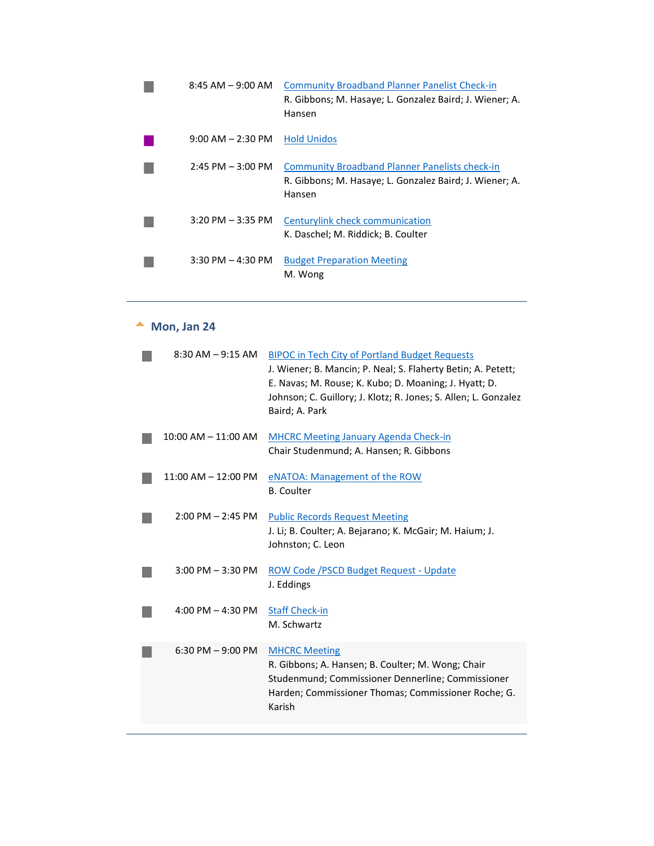| $8:45$ AM $-9:00$ AM  | <b>Community Broadband Planner Panelist Check-in</b><br>R. Gibbons; M. Hasaye; L. Gonzalez Baird; J. Wiener; A.<br>Hansen  |
|-----------------------|----------------------------------------------------------------------------------------------------------------------------|
| $9:00$ AM $- 2:30$ PM | <b>Hold Unidos</b>                                                                                                         |
| $2:45$ PM $-3:00$ PM  | <b>Community Broadband Planner Panelists check-in</b><br>R. Gibbons; M. Hasaye; L. Gonzalez Baird; J. Wiener; A.<br>Hansen |
| $3:20$ PM $-3:35$ PM  | Centurylink check communication<br>K. Daschel; M. Riddick; B. Coulter                                                      |
| $3:30$ PM $- 4:30$ PM | <b>Budget Preparation Meeting</b><br>M. Wong                                                                               |

# **Mon, Jan 24**

<span id="page-6-0"></span>

| $8:30$ AM $-9:15$ AM    | <b>BIPOC in Tech City of Portland Budget Requests</b><br>J. Wiener; B. Mancin; P. Neal; S. Flaherty Betin; A. Petett;<br>E. Navas; M. Rouse; K. Kubo; D. Moaning; J. Hyatt; D.<br>Johnson; C. Guillory; J. Klotz; R. Jones; S. Allen; L. Gonzalez<br>Baird; A. Park |
|-------------------------|---------------------------------------------------------------------------------------------------------------------------------------------------------------------------------------------------------------------------------------------------------------------|
| $10:00$ AM $- 11:00$ AM | <b>MHCRC Meeting January Agenda Check-in</b><br>Chair Studenmund; A. Hansen; R. Gibbons                                                                                                                                                                             |
| 11:00 AM - 12:00 PM     | eNATOA: Management of the ROW<br><b>B.</b> Coulter                                                                                                                                                                                                                  |
| $2:00$ PM $- 2:45$ PM   | <b>Public Records Request Meeting</b><br>J. Li; B. Coulter; A. Bejarano; K. McGair; M. Haium; J.<br>Johnston; C. Leon                                                                                                                                               |
| $3:00$ PM $-3:30$ PM    | ROW Code / PSCD Budget Request - Update<br>J. Eddings                                                                                                                                                                                                               |
| 4:00 PM $-$ 4:30 PM     | <b>Staff Check-in</b><br>M. Schwartz                                                                                                                                                                                                                                |
| 6:30 PM $-9:00$ PM      | <b>MHCRC Meeting</b><br>R. Gibbons; A. Hansen; B. Coulter; M. Wong; Chair<br>Studenmund; Commissioner Dennerline; Commissioner<br>Harden; Commissioner Thomas; Commissioner Roche; G.<br>Karish                                                                     |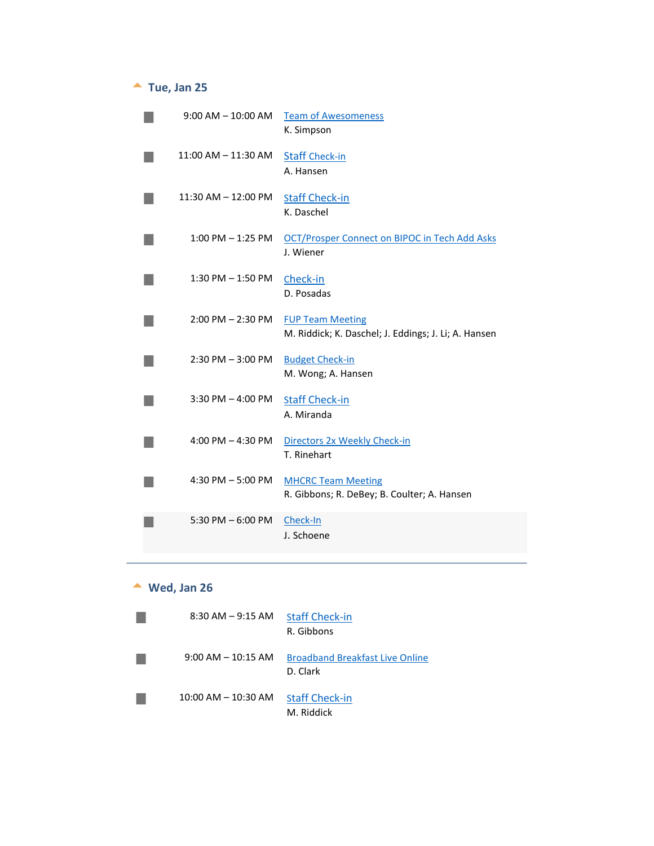#### **Tue, Jan 25**

<span id="page-7-0"></span>

| $9:00$ AM $-$ 10:00 AM  | <b>Team of Awesomeness</b><br>K. Simpson                                        |
|-------------------------|---------------------------------------------------------------------------------|
| $11:00$ AM $- 11:30$ AM | <b>Staff Check-in</b><br>A. Hansen                                              |
| $11:30$ AM $- 12:00$ PM | <b>Staff Check-in</b><br>K. Daschel                                             |
| 1:00 PM - 1:25 PM       | OCT/Prosper Connect on BIPOC in Tech Add Asks<br>J. Wiener                      |
| $1:30$ PM $-1:50$ PM    | Check-in<br>D. Posadas                                                          |
| $2:00$ PM $- 2:30$ PM   | <b>FUP Team Meeting</b><br>M. Riddick; K. Daschel; J. Eddings; J. Li; A. Hansen |
| $2:30$ PM $-3:00$ PM    | <b>Budget Check-in</b><br>M. Wong; A. Hansen                                    |
| $3:30$ PM $-$ 4:00 PM   | <b>Staff Check-in</b><br>A. Miranda                                             |
| 4:00 PM $-$ 4:30 PM     | Directors 2x Weekly Check-in<br>T. Rinehart                                     |
| 4:30 PM $-$ 5:00 PM     | <b>MHCRC Team Meeting</b><br>R. Gibbons; R. DeBey; B. Coulter; A. Hansen        |
| $5:30$ PM $-6:00$ PM    | Check-In<br>J. Schoene                                                          |

#### **Wed, Jan 26**

<span id="page-7-1"></span>

| $8:30$ AM $-9:15$ AM    | <b>Staff Check-in</b><br>R. Gibbons                |
|-------------------------|----------------------------------------------------|
| $9:00$ AM $-10:15$ AM   | <b>Broadband Breakfast Live Online</b><br>D. Clark |
| $10:00$ AM $- 10:30$ AM | <b>Staff Check-in</b><br>M. Riddick                |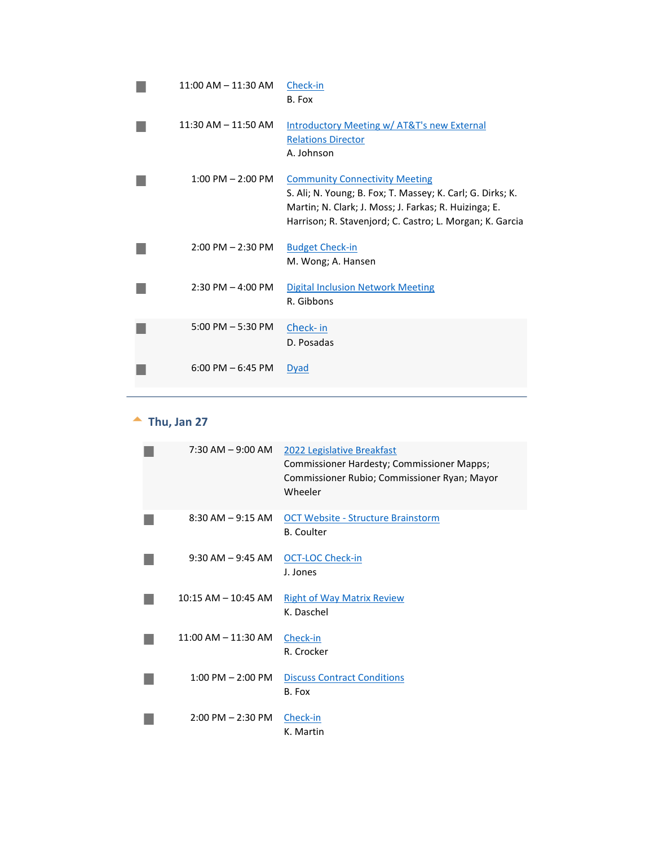| $11:00$ AM $- 11:30$ AM | Check-in<br>B. Fox                                                                                                                                                                                                       |
|-------------------------|--------------------------------------------------------------------------------------------------------------------------------------------------------------------------------------------------------------------------|
| $11:30$ AM $-11:50$ AM  | <b>Introductory Meeting w/ AT&amp;T's new External</b><br><b>Relations Director</b><br>A. Johnson                                                                                                                        |
| $1:00$ PM $- 2:00$ PM   | <b>Community Connectivity Meeting</b><br>S. Ali; N. Young; B. Fox; T. Massey; K. Carl; G. Dirks; K.<br>Martin; N. Clark; J. Moss; J. Farkas; R. Huizinga; E.<br>Harrison; R. Stavenjord; C. Castro; L. Morgan; K. Garcia |
| $2:00$ PM $- 2:30$ PM   | <b>Budget Check-in</b><br>M. Wong; A. Hansen                                                                                                                                                                             |
| $2:30$ PM $-$ 4:00 PM   | <b>Digital Inclusion Network Meeting</b><br>R. Gibbons                                                                                                                                                                   |
| 5:00 PM $-$ 5:30 PM     | Check- in<br>D. Posadas                                                                                                                                                                                                  |
| $6:00$ PM $-6:45$ PM    | Dyad                                                                                                                                                                                                                     |

#### **Thu, Jan 27**

<span id="page-8-0"></span>

| $7:30$ AM $-9:00$ AM    | 2022 Legislative Breakfast<br>Commissioner Hardesty; Commissioner Mapps;<br>Commissioner Rubio; Commissioner Ryan; Mayor<br>Wheeler |
|-------------------------|-------------------------------------------------------------------------------------------------------------------------------------|
| $8:30$ AM $-9:15$ AM    | <b>OCT Website - Structure Brainstorm</b><br><b>B.</b> Coulter                                                                      |
| $9:30$ AM $-9:45$ AM    | <b>OCT-LOC Check-in</b><br>J. Jones                                                                                                 |
| $10:15$ AM $-$ 10:45 AM | <b>Right of Way Matrix Review</b><br>K. Daschel                                                                                     |
| $11:00$ AM $- 11:30$ AM | Check-in<br>R. Crocker                                                                                                              |
| $1:00$ PM $- 2:00$ PM   | <b>Discuss Contract Conditions</b><br>B. Fox                                                                                        |
| $2:00$ PM $- 2:30$ PM   | Check-in<br>K. Martin                                                                                                               |